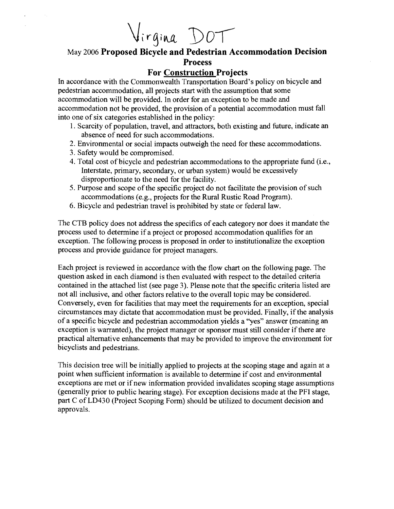Virgina DOT

## May 2006 **Proposed Bicycle and Pedestrian Accommodation Decision Process**

## **For Construction Projects**

In accordance with the Commonwealth Transportation Board's policy on bicycle and pedestrian accommodation, all projects start with the assumption that some accommodation will be provided. In order for an exception to be made and accommodation not be provided, the provision of a potential accommodation must fall into one of six categories established in the policy:

- 1. Scarcity of population, travel, and attractors, both existing and future, indicate an absence of need for such accommodations.
- 2. Environmental or social impacts outweigh the need for these accommodations.
- 3. Safety would be compromised.
- 4. Total cost of bicycle and pedestrian accommodations to the appropriate fund (i.e., Interstate, primary, secondary, or urban system) would be excessively disproportionate to the need for the facility.
- 5. Purpose and scope of the specific project do not facilitate the provision of such accommodations (e.g., projects for the Rural Rustic Road Program).
- 6. Bicycle and pedestrian travel is prohibited by state or federal law.

The CTB policy does not address the specifics of each category nor does it mandate the process used to determine if a project or proposed accommodation qualifies for an exception. The following process is proposed in order to institutionalize the exception process and provide guidance for project managers.

Each project is reviewed in accordance with the flow chart on the following page. The question asked in each diamond is then evaluated with respect to the detailed criteria contained in the attached list (see page 3). Please note that the specific criteria listed are not all inclusive, and other factors relative to the overall topic may be considered. Conversely, even for facilities that may meet the requirements for an exception, special circumstances may dictate that accommodation must be provided. Finally, if the analysis of a specific bicycle and pedestrian accommodation yields a "yes" answer (meaning an exception is warranted), the project manager or sponsor must still consider if there are practical alternative enhancements that may be provided to improve the environment for bicyclists and pedestrians.

This decision tree will be initially applied to projects at the scoping stage and again at a point when sufficient information is available to determine if cost and environmental exceptions are met or if new information provided invalidates scoping stage assumptions (generally prior to public hearing stage). For exception decisions made at the PFI stage, part C of LD430 (Project Scoping Form) should be utilized to document decision and approvals.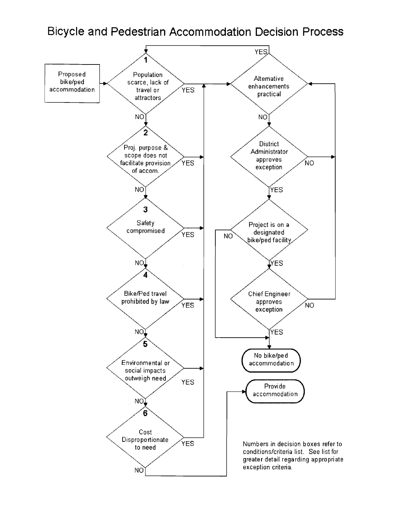## Bicycle and Pedestrian Accommodation Decision Process